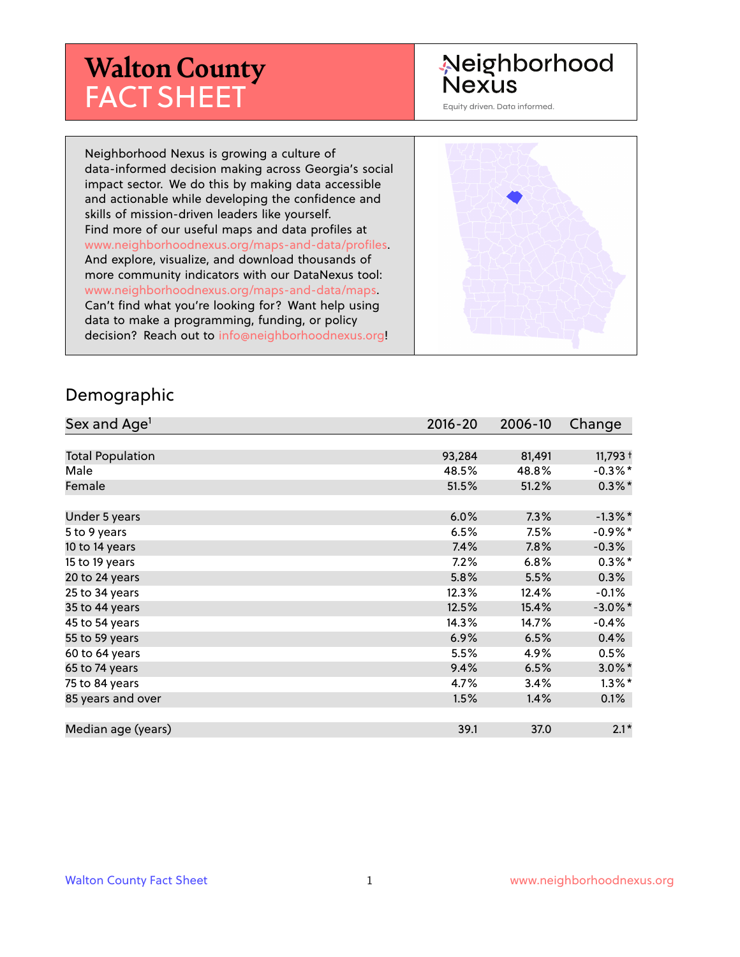# **Walton County** FACT SHEET

# Neighborhood Nexus

Equity driven. Data informed.

Neighborhood Nexus is growing a culture of data-informed decision making across Georgia's social impact sector. We do this by making data accessible and actionable while developing the confidence and skills of mission-driven leaders like yourself. Find more of our useful maps and data profiles at www.neighborhoodnexus.org/maps-and-data/profiles. And explore, visualize, and download thousands of more community indicators with our DataNexus tool: www.neighborhoodnexus.org/maps-and-data/maps. Can't find what you're looking for? Want help using data to make a programming, funding, or policy decision? Reach out to [info@neighborhoodnexus.org!](mailto:info@neighborhoodnexus.org)



#### Demographic

| Sex and Age <sup>1</sup> | $2016 - 20$ | 2006-10 | Change     |
|--------------------------|-------------|---------|------------|
|                          |             |         |            |
| <b>Total Population</b>  | 93,284      | 81,491  | $11,793 +$ |
| Male                     | 48.5%       | 48.8%   | $-0.3\%$ * |
| Female                   | 51.5%       | 51.2%   | $0.3\%$ *  |
|                          |             |         |            |
| Under 5 years            | 6.0%        | 7.3%    | $-1.3\%$ * |
| 5 to 9 years             | 6.5%        | 7.5%    | $-0.9\%$ * |
| 10 to 14 years           | 7.4%        | 7.8%    | $-0.3\%$   |
| 15 to 19 years           | 7.2%        | 6.8%    | $0.3\%$ *  |
| 20 to 24 years           | 5.8%        | 5.5%    | 0.3%       |
| 25 to 34 years           | 12.3%       | 12.4%   | $-0.1%$    |
| 35 to 44 years           | 12.5%       | 15.4%   | $-3.0\%$ * |
| 45 to 54 years           | 14.3%       | 14.7%   | $-0.4%$    |
| 55 to 59 years           | 6.9%        | 6.5%    | 0.4%       |
| 60 to 64 years           | 5.5%        | 4.9%    | 0.5%       |
| 65 to 74 years           | 9.4%        | 6.5%    | $3.0\%$ *  |
| 75 to 84 years           | 4.7%        | 3.4%    | $1.3\%$ *  |
| 85 years and over        | 1.5%        | 1.4%    | $0.1\%$    |
|                          |             |         |            |
| Median age (years)       | 39.1        | 37.0    | $2.1*$     |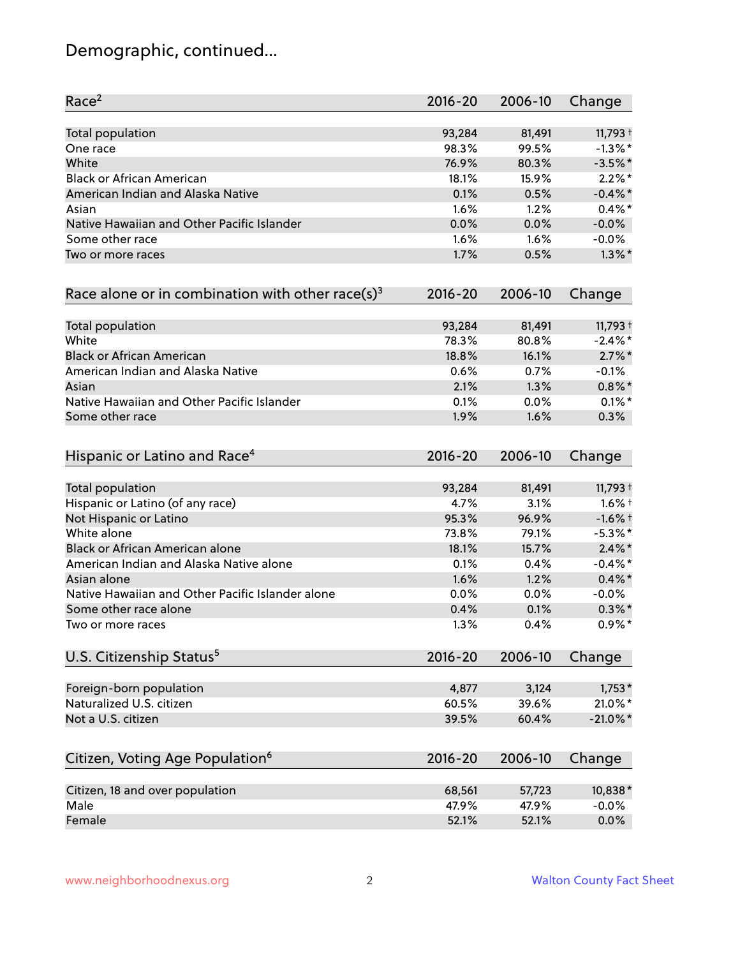# Demographic, continued...

| Race <sup>2</sup>                                   | $2016 - 20$ | 2006-10 | Change      |
|-----------------------------------------------------|-------------|---------|-------------|
| <b>Total population</b>                             | 93,284      | 81,491  | $11,793 +$  |
| One race                                            | 98.3%       | 99.5%   | $-1.3\%$ *  |
| White                                               | 76.9%       | 80.3%   | $-3.5%$ *   |
| <b>Black or African American</b>                    | 18.1%       | 15.9%   | $2.2\%$ *   |
| American Indian and Alaska Native                   | 0.1%        | 0.5%    | $-0.4\%$ *  |
| Asian                                               | 1.6%        | 1.2%    | $0.4\%$ *   |
| Native Hawaiian and Other Pacific Islander          | 0.0%        | 0.0%    | $-0.0%$     |
| Some other race                                     | 1.6%        | 1.6%    | $-0.0%$     |
| Two or more races                                   | 1.7%        | 0.5%    | $1.3\%$ *   |
| Race alone or in combination with other race(s) $3$ | $2016 - 20$ | 2006-10 | Change      |
| Total population                                    | 93,284      | 81,491  | $11,793 +$  |
| White                                               | 78.3%       | 80.8%   | $-2.4\%$ *  |
| <b>Black or African American</b>                    | 18.8%       | 16.1%   | $2.7\%$ *   |
| American Indian and Alaska Native                   | 0.6%        | 0.7%    | $-0.1%$     |
| Asian                                               | 2.1%        | 1.3%    | $0.8\%$ *   |
| Native Hawaiian and Other Pacific Islander          | 0.1%        | 0.0%    | $0.1\%$ *   |
| Some other race                                     | 1.9%        | 1.6%    | 0.3%        |
| Hispanic or Latino and Race <sup>4</sup>            | $2016 - 20$ | 2006-10 | Change      |
| Total population                                    | 93,284      | 81,491  | $11,793 +$  |
| Hispanic or Latino (of any race)                    | 4.7%        | 3.1%    | $1.6\%$ †   |
| Not Hispanic or Latino                              | 95.3%       | 96.9%   | $-1.6%$ †   |
| White alone                                         | 73.8%       | 79.1%   | $-5.3\%$ *  |
| Black or African American alone                     | 18.1%       | 15.7%   | $2.4\%$ *   |
| American Indian and Alaska Native alone             | 0.1%        | 0.4%    | $-0.4\%$ *  |
| Asian alone                                         | 1.6%        | 1.2%    | $0.4\%$ *   |
| Native Hawaiian and Other Pacific Islander alone    | 0.0%        | 0.0%    | $-0.0%$     |
| Some other race alone                               | 0.4%        | 0.1%    | $0.3\% *$   |
| Two or more races                                   | 1.3%        | 0.4%    | $0.9\%*$    |
| U.S. Citizenship Status <sup>5</sup>                | $2016 - 20$ | 2006-10 | Change      |
| Foreign-born population                             | 4,877       | 3,124   | $1,753*$    |
| Naturalized U.S. citizen                            | 60.5%       | 39.6%   | 21.0%*      |
| Not a U.S. citizen                                  | 39.5%       | 60.4%   | $-21.0\%$ * |
| Citizen, Voting Age Population <sup>6</sup>         | $2016 - 20$ | 2006-10 |             |
|                                                     |             |         | Change      |
| Citizen, 18 and over population                     | 68,561      | 57,723  | 10,838*     |
| Male                                                | 47.9%       | 47.9%   | $-0.0%$     |
| Female                                              | 52.1%       | 52.1%   | 0.0%        |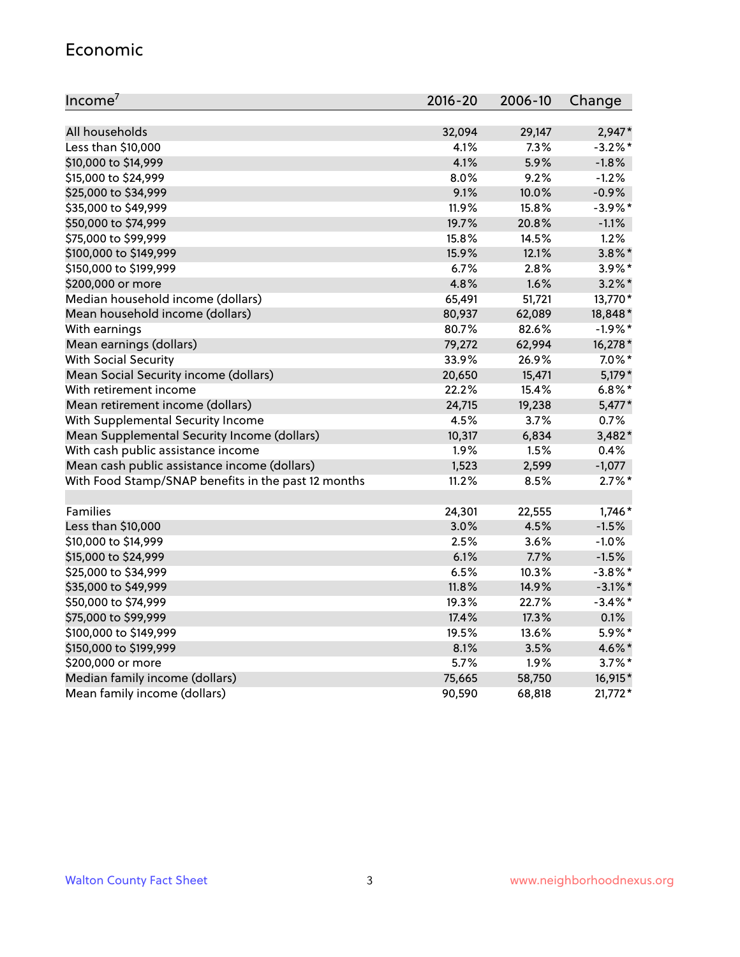#### Economic

| Income <sup>7</sup>                                 | $2016 - 20$ | 2006-10 | Change     |
|-----------------------------------------------------|-------------|---------|------------|
|                                                     |             |         |            |
| All households                                      | 32,094      | 29,147  | 2,947*     |
| Less than \$10,000                                  | 4.1%        | 7.3%    | $-3.2%$ *  |
| \$10,000 to \$14,999                                | 4.1%        | 5.9%    | $-1.8%$    |
| \$15,000 to \$24,999                                | 8.0%        | 9.2%    | $-1.2%$    |
| \$25,000 to \$34,999                                | 9.1%        | 10.0%   | $-0.9%$    |
| \$35,000 to \$49,999                                | 11.9%       | 15.8%   | $-3.9\%$ * |
| \$50,000 to \$74,999                                | 19.7%       | 20.8%   | $-1.1%$    |
| \$75,000 to \$99,999                                | 15.8%       | 14.5%   | 1.2%       |
| \$100,000 to \$149,999                              | 15.9%       | 12.1%   | $3.8\%$ *  |
| \$150,000 to \$199,999                              | 6.7%        | 2.8%    | $3.9\%$ *  |
| \$200,000 or more                                   | 4.8%        | 1.6%    | $3.2\%$ *  |
| Median household income (dollars)                   | 65,491      | 51,721  | 13,770*    |
| Mean household income (dollars)                     | 80,937      | 62,089  | 18,848*    |
| With earnings                                       | 80.7%       | 82.6%   | $-1.9%$ *  |
| Mean earnings (dollars)                             | 79,272      | 62,994  | 16,278*    |
| <b>With Social Security</b>                         | 33.9%       | 26.9%   | $7.0\%$ *  |
| Mean Social Security income (dollars)               | 20,650      | 15,471  | 5,179*     |
| With retirement income                              | 22.2%       | 15.4%   | $6.8\%$ *  |
| Mean retirement income (dollars)                    | 24,715      | 19,238  | $5,477*$   |
| With Supplemental Security Income                   | 4.5%        | 3.7%    | 0.7%       |
| Mean Supplemental Security Income (dollars)         | 10,317      | 6,834   | 3,482*     |
| With cash public assistance income                  | 1.9%        | 1.5%    | 0.4%       |
| Mean cash public assistance income (dollars)        | 1,523       | 2,599   | $-1,077$   |
| With Food Stamp/SNAP benefits in the past 12 months | 11.2%       | 8.5%    | $2.7\%$ *  |
|                                                     |             |         |            |
| Families                                            | 24,301      | 22,555  | $1,746*$   |
| Less than \$10,000                                  | 3.0%        | 4.5%    | $-1.5%$    |
| \$10,000 to \$14,999                                | 2.5%        | 3.6%    | $-1.0%$    |
| \$15,000 to \$24,999                                | 6.1%        | 7.7%    | $-1.5%$    |
| \$25,000 to \$34,999                                | 6.5%        | 10.3%   | $-3.8\%$ * |
| \$35,000 to \$49,999                                | 11.8%       | 14.9%   | $-3.1\%$ * |
| \$50,000 to \$74,999                                | 19.3%       | 22.7%   | $-3.4\%$ * |
| \$75,000 to \$99,999                                | 17.4%       | 17.3%   | 0.1%       |
| \$100,000 to \$149,999                              | 19.5%       | 13.6%   | 5.9%*      |
| \$150,000 to \$199,999                              | 8.1%        | 3.5%    | 4.6%*      |
| \$200,000 or more                                   | 5.7%        | 1.9%    | $3.7\%$ *  |
| Median family income (dollars)                      | 75,665      | 58,750  | 16,915*    |
| Mean family income (dollars)                        | 90,590      | 68,818  | $21,772*$  |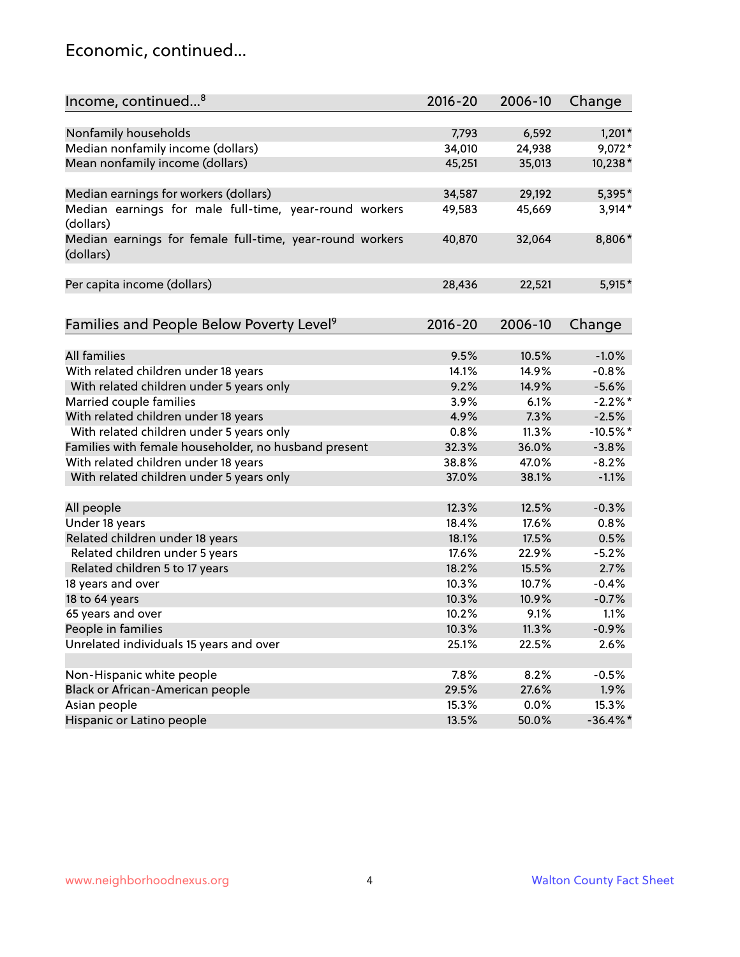#### Economic, continued...

| Income, continued <sup>8</sup>                                        | $2016 - 20$ | 2006-10 | Change      |
|-----------------------------------------------------------------------|-------------|---------|-------------|
|                                                                       |             |         |             |
| Nonfamily households                                                  | 7,793       | 6,592   | $1,201*$    |
| Median nonfamily income (dollars)                                     | 34,010      | 24,938  | $9,072*$    |
| Mean nonfamily income (dollars)                                       | 45,251      | 35,013  | 10,238*     |
| Median earnings for workers (dollars)                                 | 34,587      | 29,192  | 5,395*      |
| Median earnings for male full-time, year-round workers                | 49,583      | 45,669  | $3,914*$    |
| (dollars)                                                             |             |         |             |
| Median earnings for female full-time, year-round workers<br>(dollars) | 40,870      | 32,064  | 8,806*      |
| Per capita income (dollars)                                           | 28,436      | 22,521  | $5,915*$    |
|                                                                       |             |         |             |
| Families and People Below Poverty Level <sup>9</sup>                  | $2016 - 20$ | 2006-10 | Change      |
|                                                                       |             |         |             |
| <b>All families</b>                                                   | 9.5%        | 10.5%   | $-1.0%$     |
| With related children under 18 years                                  | 14.1%       | 14.9%   | $-0.8%$     |
| With related children under 5 years only                              | 9.2%        | 14.9%   | $-5.6%$     |
| Married couple families                                               | 3.9%        | 6.1%    | $-2.2\%$ *  |
| With related children under 18 years                                  | 4.9%        | 7.3%    | $-2.5%$     |
| With related children under 5 years only                              | 0.8%        | 11.3%   | $-10.5%$ *  |
| Families with female householder, no husband present                  | 32.3%       | 36.0%   | $-3.8%$     |
| With related children under 18 years                                  | 38.8%       | 47.0%   | $-8.2%$     |
| With related children under 5 years only                              | 37.0%       | 38.1%   | $-1.1%$     |
| All people                                                            | 12.3%       | 12.5%   | $-0.3%$     |
| Under 18 years                                                        | 18.4%       | 17.6%   | 0.8%        |
| Related children under 18 years                                       | 18.1%       | 17.5%   | 0.5%        |
| Related children under 5 years                                        | 17.6%       | 22.9%   | $-5.2%$     |
| Related children 5 to 17 years                                        | 18.2%       | 15.5%   | 2.7%        |
| 18 years and over                                                     | 10.3%       | 10.7%   | $-0.4%$     |
| 18 to 64 years                                                        | 10.3%       | 10.9%   | $-0.7%$     |
| 65 years and over                                                     | 10.2%       | 9.1%    | 1.1%        |
| People in families                                                    | 10.3%       | 11.3%   | $-0.9%$     |
| Unrelated individuals 15 years and over                               | 25.1%       | 22.5%   | 2.6%        |
|                                                                       |             |         |             |
| Non-Hispanic white people                                             | 7.8%        | 8.2%    | $-0.5%$     |
| Black or African-American people                                      | 29.5%       | 27.6%   | 1.9%        |
| Asian people                                                          | 15.3%       | 0.0%    | 15.3%       |
| Hispanic or Latino people                                             | 13.5%       | 50.0%   | $-36.4\%$ * |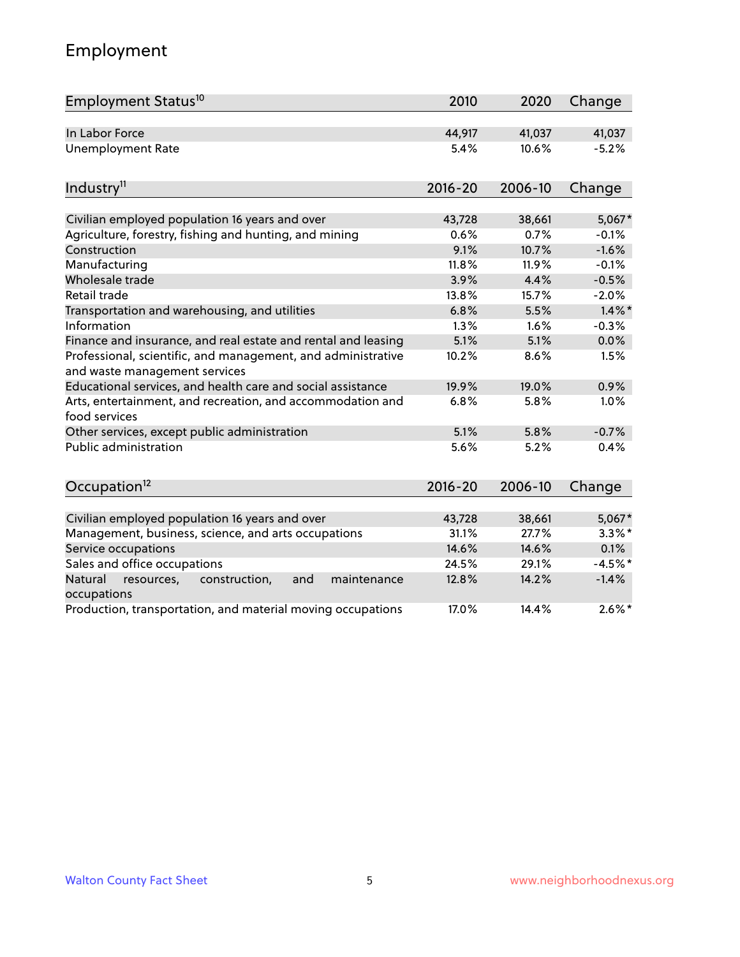# Employment

| Employment Status <sup>10</sup>                                                               | 2010        | 2020    | Change    |
|-----------------------------------------------------------------------------------------------|-------------|---------|-----------|
| In Labor Force                                                                                | 44,917      | 41,037  | 41,037    |
| <b>Unemployment Rate</b>                                                                      | 5.4%        | 10.6%   | $-5.2%$   |
| Industry <sup>11</sup>                                                                        | $2016 - 20$ | 2006-10 | Change    |
|                                                                                               |             |         |           |
| Civilian employed population 16 years and over                                                | 43,728      | 38,661  | $5,067*$  |
| Agriculture, forestry, fishing and hunting, and mining                                        | 0.6%        | 0.7%    | $-0.1%$   |
| Construction                                                                                  | 9.1%        | 10.7%   | $-1.6%$   |
| Manufacturing                                                                                 | 11.8%       | 11.9%   | $-0.1%$   |
| Wholesale trade                                                                               | 3.9%        | 4.4%    | $-0.5%$   |
| Retail trade                                                                                  | 13.8%       | 15.7%   | $-2.0%$   |
| Transportation and warehousing, and utilities                                                 | 6.8%        | 5.5%    | $1.4\%$ * |
| Information                                                                                   | 1.3%        | 1.6%    | $-0.3%$   |
| Finance and insurance, and real estate and rental and leasing                                 | 5.1%        | 5.1%    | 0.0%      |
| Professional, scientific, and management, and administrative<br>and waste management services | 10.2%       | 8.6%    | 1.5%      |
| Educational services, and health care and social assistance                                   | 19.9%       | 19.0%   | 0.9%      |
| Arts, entertainment, and recreation, and accommodation and<br>food services                   | 6.8%        | 5.8%    | 1.0%      |
| Other services, except public administration                                                  | 5.1%        | 5.8%    | $-0.7%$   |
| <b>Public administration</b>                                                                  | 5.6%        | 5.2%    | 0.4%      |
| Occupation <sup>12</sup>                                                                      | $2016 - 20$ | 2006-10 | Change    |
|                                                                                               |             |         |           |
| Civilian employed population 16 years and over                                                | 43,728      | 38,661  | 5,067*    |
| Management, business, science, and arts occupations                                           | 31.1%       | 27.7%   | $3.3\%$ * |
| Service occupations                                                                           | 14.6%       | 14.6%   | 0.1%      |
| Sales and office occupations                                                                  | 24.5%       | 29.1%   | $-4.5%$ * |
| Natural<br>resources,<br>construction,<br>and<br>maintenance<br>occupations                   | 12.8%       | 14.2%   | $-1.4%$   |
| Production, transportation, and material moving occupations                                   | 17.0%       | 14.4%   | $2.6\%$ * |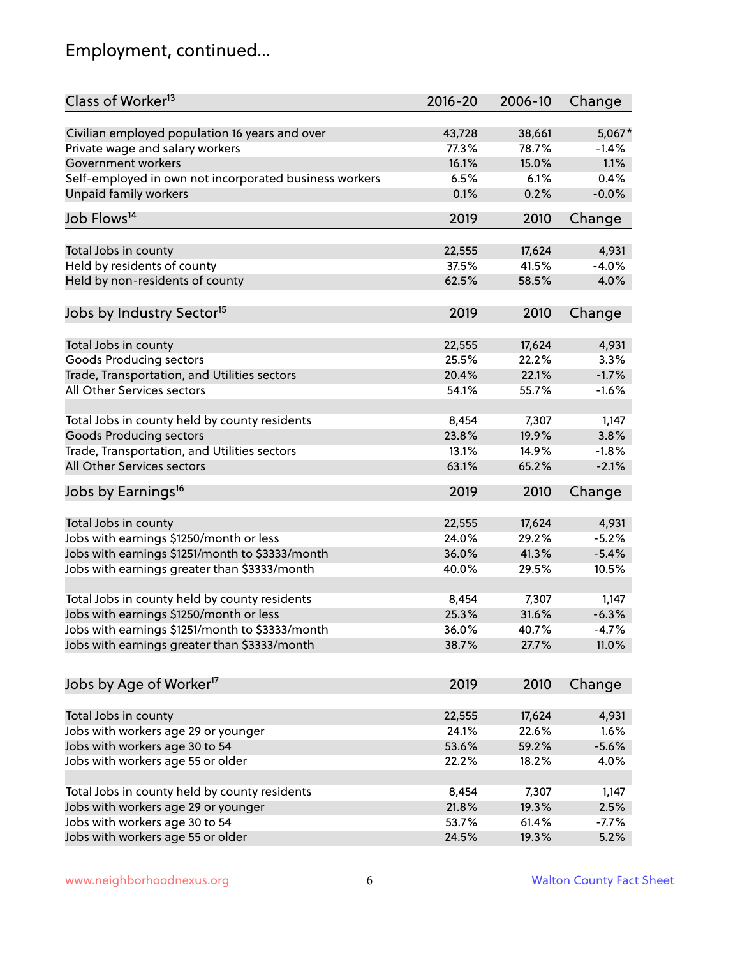# Employment, continued...

| Class of Worker <sup>13</sup>                                   | $2016 - 20$     | 2006-10         | Change           |
|-----------------------------------------------------------------|-----------------|-----------------|------------------|
| Civilian employed population 16 years and over                  | 43,728          | 38,661          | 5,067*           |
| Private wage and salary workers                                 | 77.3%           | 78.7%           | $-1.4%$          |
| Government workers                                              | 16.1%           | 15.0%           | 1.1%             |
| Self-employed in own not incorporated business workers          | 6.5%            | 6.1%            | 0.4%             |
| <b>Unpaid family workers</b>                                    | 0.1%            | 0.2%            | $-0.0%$          |
| Job Flows <sup>14</sup>                                         | 2019            | 2010            | Change           |
| Total Jobs in county                                            | 22,555          | 17,624          | 4,931            |
| Held by residents of county                                     | 37.5%           | 41.5%           | $-4.0%$          |
|                                                                 | 62.5%           | 58.5%           | 4.0%             |
| Held by non-residents of county                                 |                 |                 |                  |
| Jobs by Industry Sector <sup>15</sup>                           | 2019            | 2010            | Change           |
| Total Jobs in county                                            | 22,555          | 17,624          | 4,931            |
| <b>Goods Producing sectors</b>                                  | 25.5%           | 22.2%           | 3.3%             |
| Trade, Transportation, and Utilities sectors                    | 20.4%           | 22.1%           | $-1.7%$          |
| All Other Services sectors                                      | 54.1%           | 55.7%           | $-1.6%$          |
|                                                                 |                 |                 |                  |
| Total Jobs in county held by county residents                   | 8,454           | 7,307           | 1,147            |
| <b>Goods Producing sectors</b>                                  | 23.8%           | 19.9%           | 3.8%             |
| Trade, Transportation, and Utilities sectors                    | 13.1%           | 14.9%           | $-1.8%$          |
| All Other Services sectors                                      | 63.1%           | 65.2%           | $-2.1%$          |
| Jobs by Earnings <sup>16</sup>                                  | 2019            | 2010            | Change           |
|                                                                 |                 |                 |                  |
| Total Jobs in county<br>Jobs with earnings \$1250/month or less | 22,555<br>24.0% | 17,624<br>29.2% | 4,931<br>$-5.2%$ |
|                                                                 | 36.0%           | 41.3%           |                  |
| Jobs with earnings \$1251/month to \$3333/month                 |                 |                 | $-5.4%$          |
| Jobs with earnings greater than \$3333/month                    | 40.0%           | 29.5%           | 10.5%            |
| Total Jobs in county held by county residents                   | 8,454           | 7,307           | 1,147            |
| Jobs with earnings \$1250/month or less                         | 25.3%           | 31.6%           | $-6.3%$          |
| Jobs with earnings \$1251/month to \$3333/month                 | 36.0%           | 40.7%           | -4.7%            |
| Jobs with earnings greater than \$3333/month                    | 38.7%           | 27.7%           | 11.0%            |
| Jobs by Age of Worker <sup>17</sup>                             | 2019            | 2010            | Change           |
|                                                                 |                 |                 |                  |
| Total Jobs in county                                            | 22,555          | 17,624          | 4,931            |
| Jobs with workers age 29 or younger                             | 24.1%           | 22.6%           | 1.6%             |
| Jobs with workers age 30 to 54                                  | 53.6%           | 59.2%           | $-5.6%$          |
| Jobs with workers age 55 or older                               | 22.2%           | 18.2%           | 4.0%             |
|                                                                 |                 |                 |                  |
| Total Jobs in county held by county residents                   | 8,454           | 7,307           | 1,147            |
| Jobs with workers age 29 or younger                             | 21.8%           | 19.3%           | 2.5%             |
| Jobs with workers age 30 to 54                                  | 53.7%           | 61.4%           | $-7.7%$          |
| Jobs with workers age 55 or older                               | 24.5%           | 19.3%           | 5.2%             |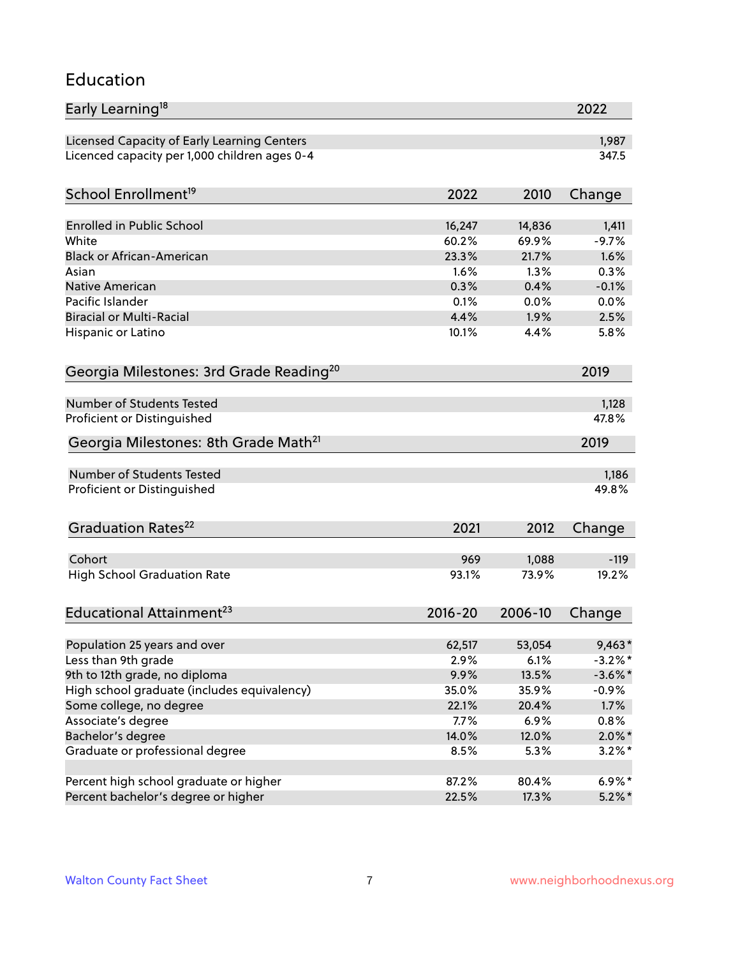#### Education

| Early Learning <sup>18</sup>                        |               |              | 2022         |
|-----------------------------------------------------|---------------|--------------|--------------|
| Licensed Capacity of Early Learning Centers         |               |              | 1,987        |
| Licenced capacity per 1,000 children ages 0-4       |               |              | 347.5        |
| School Enrollment <sup>19</sup>                     | 2022          | 2010         | Change       |
|                                                     |               |              |              |
| <b>Enrolled in Public School</b>                    | 16,247        | 14,836       | 1,411        |
| White<br><b>Black or African-American</b>           | 60.2%         | 69.9%        | $-9.7%$      |
|                                                     | 23.3%<br>1.6% | 21.7%        | 1.6%         |
| Asian                                               |               | 1.3%         | 0.3%         |
| <b>Native American</b><br>Pacific Islander          | 0.3%          | 0.4%         | $-0.1%$      |
| <b>Biracial or Multi-Racial</b>                     | 0.1%<br>4.4%  | 0.0%<br>1.9% | 0.0%<br>2.5% |
|                                                     |               |              |              |
| Hispanic or Latino                                  | 10.1%         | 4.4%         | 5.8%         |
| Georgia Milestones: 3rd Grade Reading <sup>20</sup> |               |              | 2019         |
| Number of Students Tested                           |               |              | 1,128        |
| Proficient or Distinguished                         |               |              | 47.8%        |
| Georgia Milestones: 8th Grade Math <sup>21</sup>    |               |              | 2019         |
| Number of Students Tested                           |               |              | 1,186        |
| Proficient or Distinguished                         |               |              | 49.8%        |
| Graduation Rates <sup>22</sup>                      | 2021          | 2012         | Change       |
|                                                     |               |              |              |
| Cohort                                              | 969           | 1,088        | $-119$       |
| <b>High School Graduation Rate</b>                  | 93.1%         | 73.9%        | 19.2%        |
| Educational Attainment <sup>23</sup>                | $2016 - 20$   | 2006-10      | Change       |
| Population 25 years and over                        | 62,517        | 53,054       | $9,463*$     |
| Less than 9th grade                                 | 2.9%          | 6.1%         | $-3.2\%$ *   |
| 9th to 12th grade, no diploma                       | 9.9%          | 13.5%        | $-3.6\%$ *   |
| High school graduate (includes equivalency)         | 35.0%         | 35.9%        | $-0.9\%$     |
| Some college, no degree                             | 22.1%         | 20.4%        | 1.7%         |
| Associate's degree                                  | $7.7\%$       | 6.9%         | 0.8%         |
| Bachelor's degree                                   | 14.0%         | 12.0%        | $2.0\%$ *    |
| Graduate or professional degree                     | 8.5%          | 5.3%         | $3.2\%$ *    |
|                                                     |               |              |              |
| Percent high school graduate or higher              | 87.2%         | 80.4%        | $6.9\%*$     |
| Percent bachelor's degree or higher                 | 22.5%         | 17.3%        | $5.2\%$ *    |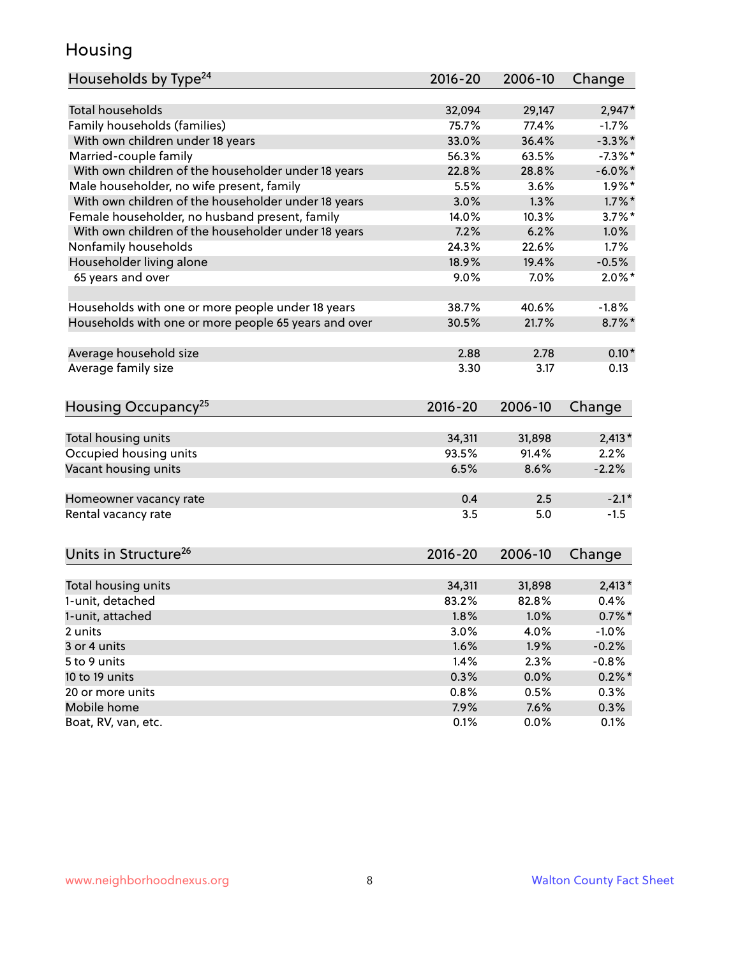#### Housing

| Households by Type <sup>24</sup>                     | 2016-20      | 2006-10      | Change     |
|------------------------------------------------------|--------------|--------------|------------|
|                                                      |              |              |            |
| <b>Total households</b>                              | 32,094       | 29,147       | $2,947*$   |
| Family households (families)                         | 75.7%        | 77.4%        | $-1.7%$    |
| With own children under 18 years                     | 33.0%        | 36.4%        | $-3.3\%$ * |
| Married-couple family                                | 56.3%        | 63.5%        | $-7.3\%$ * |
| With own children of the householder under 18 years  | 22.8%        | 28.8%        | $-6.0\%$ * |
| Male householder, no wife present, family            | 5.5%         | 3.6%         | $1.9\%$ *  |
| With own children of the householder under 18 years  | 3.0%         | 1.3%         | $1.7\%$ *  |
| Female householder, no husband present, family       | 14.0%        | 10.3%        | $3.7\%$ *  |
| With own children of the householder under 18 years  | 7.2%         | 6.2%         | 1.0%       |
| Nonfamily households                                 | 24.3%        | 22.6%        | 1.7%       |
| Householder living alone                             | 18.9%        | 19.4%        | $-0.5%$    |
| 65 years and over                                    | 9.0%         | 7.0%         | $2.0\%$ *  |
|                                                      |              |              |            |
| Households with one or more people under 18 years    | 38.7%        | 40.6%        | $-1.8%$    |
| Households with one or more people 65 years and over | 30.5%        | 21.7%        | $8.7\%$ *  |
| Average household size                               | 2.88         | 2.78         | $0.10*$    |
| Average family size                                  | 3.30         | 3.17         | 0.13       |
|                                                      |              |              |            |
| Housing Occupancy <sup>25</sup>                      | $2016 - 20$  | 2006-10      | Change     |
|                                                      |              |              |            |
| Total housing units                                  | 34,311       | 31,898       | $2,413*$   |
| Occupied housing units                               | 93.5%        | 91.4%        | 2.2%       |
| Vacant housing units                                 | 6.5%         | 8.6%         | $-2.2%$    |
| Homeowner vacancy rate                               | 0.4          | 2.5          | $-2.1*$    |
| Rental vacancy rate                                  | 3.5          | 5.0          | $-1.5$     |
|                                                      |              |              |            |
| Units in Structure <sup>26</sup>                     | $2016 - 20$  | 2006-10      | Change     |
| Total housing units                                  | 34,311       | 31,898       | $2,413*$   |
| 1-unit, detached                                     | 83.2%        | 82.8%        | 0.4%       |
|                                                      |              |              | $0.7\%$ *  |
| 1-unit, attached<br>2 units                          | 1.8%<br>3.0% | 1.0%<br>4.0% | $-1.0%$    |
| 3 or 4 units                                         | 1.6%         | 1.9%         | $-0.2%$    |
| 5 to 9 units                                         |              | 2.3%         | $-0.8%$    |
|                                                      | 1.4%         |              |            |
| 10 to 19 units                                       | 0.3%         | 0.0%         | $0.2\%$ *  |
| 20 or more units                                     | 0.8%         | 0.5%         | 0.3%       |
| Mobile home                                          | 7.9%         | 7.6%         | 0.3%       |
| Boat, RV, van, etc.                                  | 0.1%         | 0.0%         | 0.1%       |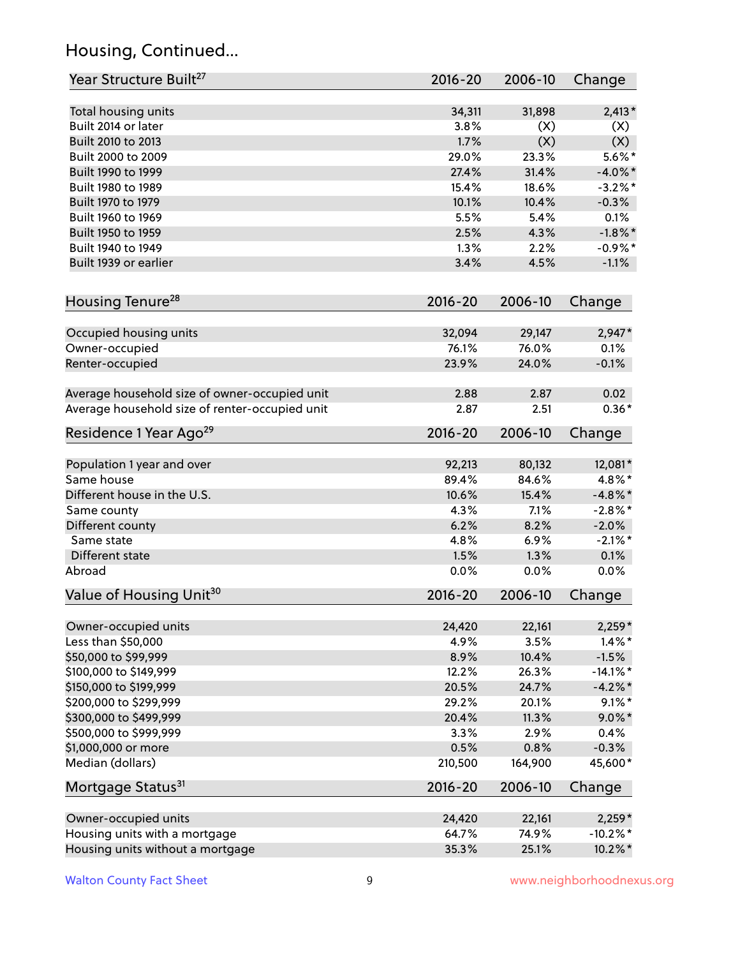# Housing, Continued...

| Year Structure Built <sup>27</sup>             | 2016-20        | 2006-10        | Change                |
|------------------------------------------------|----------------|----------------|-----------------------|
| Total housing units                            | 34,311         | 31,898         | $2,413*$              |
| Built 2014 or later                            | 3.8%           | (X)            | (X)                   |
| Built 2010 to 2013                             | 1.7%           | (X)            | (X)                   |
| Built 2000 to 2009                             | 29.0%          | 23.3%          | $5.6\%$ *             |
| Built 1990 to 1999                             | 27.4%          | 31.4%          | $-4.0\%$ *            |
| Built 1980 to 1989                             | 15.4%          | 18.6%          | $-3.2\%$ *            |
| Built 1970 to 1979                             | 10.1%          | 10.4%          | $-0.3%$               |
| Built 1960 to 1969                             | 5.5%           | 5.4%           | 0.1%                  |
| Built 1950 to 1959                             | 2.5%           | 4.3%           | $-1.8\%$ *            |
| Built 1940 to 1949                             | 1.3%           | 2.2%           | $-0.9%$ *             |
| Built 1939 or earlier                          | 3.4%           | 4.5%           | $-1.1%$               |
| Housing Tenure <sup>28</sup>                   | 2016-20        | 2006-10        | Change                |
|                                                |                |                |                       |
| Occupied housing units                         | 32,094         | 29,147         | 2,947*                |
| Owner-occupied                                 | 76.1%          | 76.0%          | 0.1%                  |
| Renter-occupied                                | 23.9%          | 24.0%          | $-0.1%$               |
| Average household size of owner-occupied unit  | 2.88           | 2.87           | 0.02                  |
| Average household size of renter-occupied unit | 2.87           | 2.51           | $0.36*$               |
| Residence 1 Year Ago <sup>29</sup>             | 2016-20        | 2006-10        | Change                |
|                                                |                |                |                       |
| Population 1 year and over                     | 92,213         | 80,132         | 12,081*               |
| Same house                                     | 89.4%          | 84.6%          | 4.8%*                 |
| Different house in the U.S.                    | 10.6%          | 15.4%          | $-4.8\%$ *            |
| Same county                                    | 4.3%           | 7.1%           | $-2.8\%$ *            |
| Different county                               | 6.2%           | 8.2%           | $-2.0%$               |
| Same state                                     | 4.8%           | 6.9%           | $-2.1\%$ *            |
| Different state                                | 1.5%           | 1.3%           | 0.1%                  |
| Abroad                                         | 0.0%           | 0.0%           | 0.0%                  |
| Value of Housing Unit <sup>30</sup>            | $2016 - 20$    | 2006-10        | Change                |
|                                                |                |                |                       |
| Owner-occupied units<br>Less than \$50,000     | 24,420<br>4.9% | 22,161<br>3.5% | $2,259*$<br>$1.4\%$ * |
|                                                |                | 10.4%          |                       |
| \$50,000 to \$99,999                           | 8.9%           | 26.3%          | $-1.5%$               |
| \$100,000 to \$149,999                         | 12.2%          |                | $-14.1\%$ *           |
| \$150,000 to \$199,999                         | 20.5%          | 24.7%          | $-4.2%$ *             |
| \$200,000 to \$299,999                         | 29.2%          | 20.1%          | $9.1\%$ *             |
| \$300,000 to \$499,999                         | 20.4%          | 11.3%          | $9.0\%$ *             |
| \$500,000 to \$999,999                         | 3.3%           | 2.9%           | 0.4%                  |
| \$1,000,000 or more                            | 0.5%           | 0.8%           | $-0.3%$               |
| Median (dollars)                               | 210,500        | 164,900        | 45,600*               |
| Mortgage Status <sup>31</sup>                  | $2016 - 20$    | 2006-10        | Change                |
| Owner-occupied units                           | 24,420         | 22,161         | $2,259*$              |
| Housing units with a mortgage                  | 64.7%          | 74.9%          | $-10.2\%$ *           |
| Housing units without a mortgage               | 35.3%          | 25.1%          | 10.2%*                |
|                                                |                |                |                       |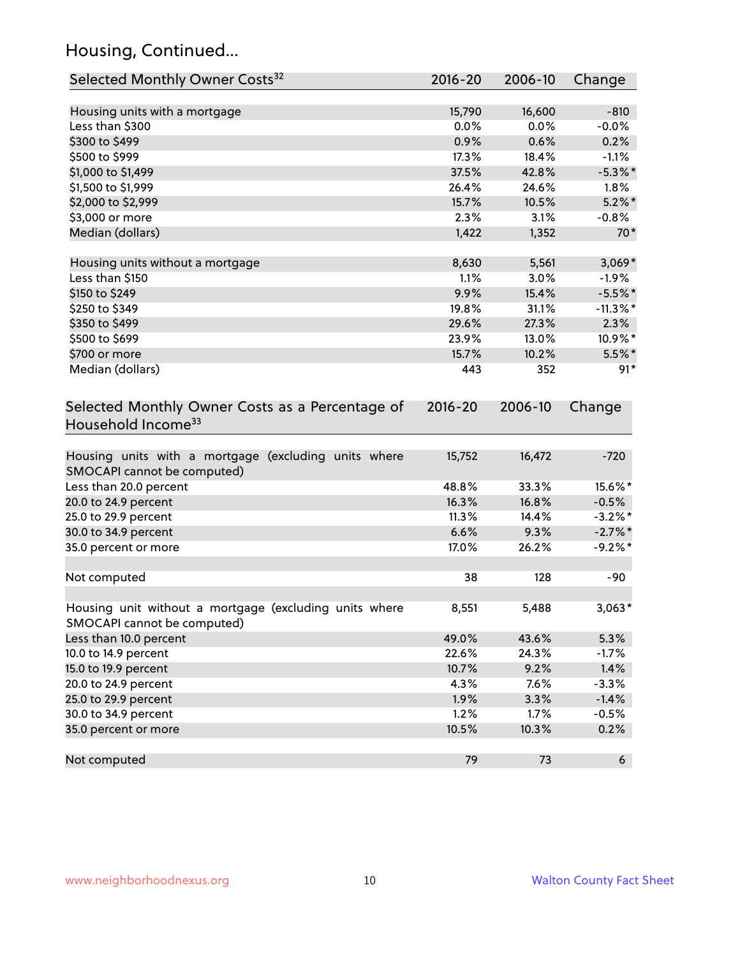# Housing, Continued...

| Selected Monthly Owner Costs <sup>32</sup>                                            | 2016-20     | 2006-10 | Change      |
|---------------------------------------------------------------------------------------|-------------|---------|-------------|
| Housing units with a mortgage                                                         | 15,790      | 16,600  | $-810$      |
| Less than \$300                                                                       | 0.0%        | 0.0%    | $-0.0%$     |
| \$300 to \$499                                                                        | 0.9%        | 0.6%    | 0.2%        |
| \$500 to \$999                                                                        | 17.3%       | 18.4%   | $-1.1%$     |
| \$1,000 to \$1,499                                                                    | 37.5%       | 42.8%   | $-5.3\%$ *  |
| \$1,500 to \$1,999                                                                    | 26.4%       | 24.6%   | 1.8%        |
| \$2,000 to \$2,999                                                                    | 15.7%       | 10.5%   | $5.2\%$ *   |
| \$3,000 or more                                                                       | 2.3%        | 3.1%    | $-0.8%$     |
| Median (dollars)                                                                      | 1,422       | 1,352   | $70*$       |
|                                                                                       |             |         |             |
| Housing units without a mortgage                                                      | 8,630       | 5,561   | $3,069*$    |
| Less than \$150                                                                       | 1.1%        | 3.0%    | $-1.9%$     |
| \$150 to \$249                                                                        | 9.9%        | 15.4%   | $-5.5%$ *   |
| \$250 to \$349                                                                        | 19.8%       | 31.1%   | $-11.3\%$ * |
| \$350 to \$499                                                                        | 29.6%       | 27.3%   | 2.3%        |
| \$500 to \$699                                                                        | 23.9%       | 13.0%   | 10.9%*      |
| \$700 or more                                                                         | 15.7%       | 10.2%   | $5.5\%$ *   |
| Median (dollars)                                                                      | 443         | 352     | $91*$       |
| Selected Monthly Owner Costs as a Percentage of<br>Household Income <sup>33</sup>     | $2016 - 20$ | 2006-10 | Change      |
| Housing units with a mortgage (excluding units where<br>SMOCAPI cannot be computed)   | 15,752      | 16,472  | $-720$      |
| Less than 20.0 percent                                                                | 48.8%       | 33.3%   | 15.6%*      |
| 20.0 to 24.9 percent                                                                  | 16.3%       | 16.8%   | $-0.5%$     |
| 25.0 to 29.9 percent                                                                  | 11.3%       | 14.4%   | $-3.2\%$ *  |
| 30.0 to 34.9 percent                                                                  | 6.6%        | 9.3%    | $-2.7\%$ *  |
| 35.0 percent or more                                                                  | 17.0%       | 26.2%   | $-9.2%$ *   |
| Not computed                                                                          | 38          | 128     | $-90$       |
| Housing unit without a mortgage (excluding units where<br>SMOCAPI cannot be computed) | 8,551       | 5,488   | $3,063*$    |
| Less than 10.0 percent                                                                | 49.0%       | 43.6%   | 5.3%        |
| 10.0 to 14.9 percent                                                                  | 22.6%       | 24.3%   | $-1.7%$     |
| 15.0 to 19.9 percent                                                                  | 10.7%       | 9.2%    | 1.4%        |
| 20.0 to 24.9 percent                                                                  | 4.3%        | 7.6%    | $-3.3%$     |
| 25.0 to 29.9 percent                                                                  | 1.9%        | 3.3%    | $-1.4%$     |
| 30.0 to 34.9 percent                                                                  | 1.2%        | 1.7%    | $-0.5%$     |
| 35.0 percent or more                                                                  | 10.5%       | 10.3%   | 0.2%        |
| Not computed                                                                          | 79          | 73      | 6           |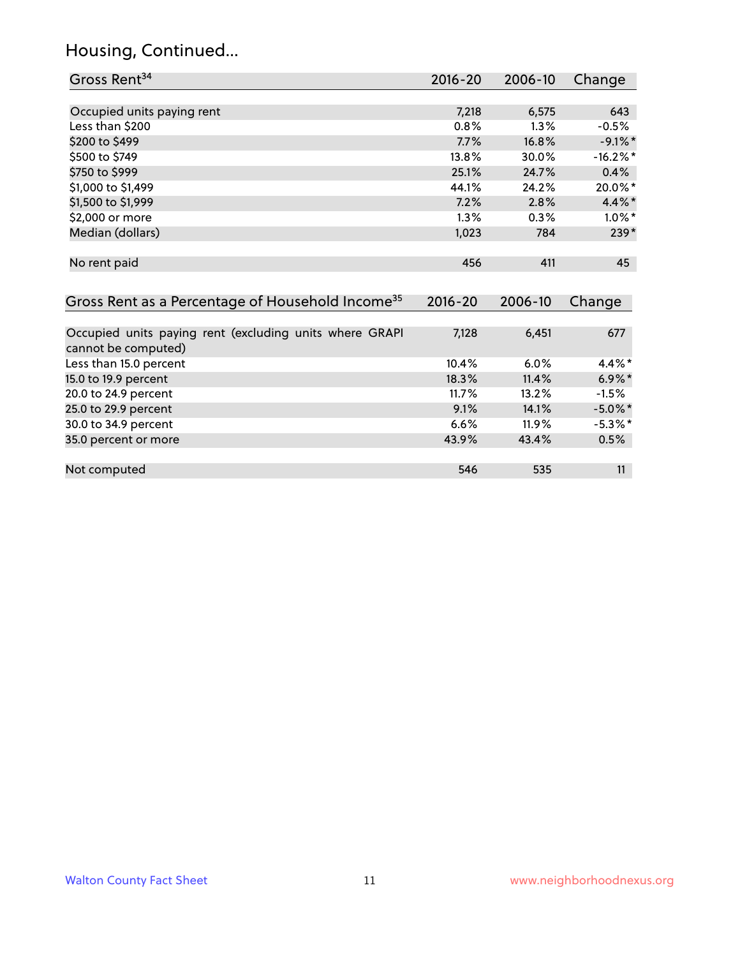# Housing, Continued...

| Gross Rent <sup>34</sup>                                                       | 2016-20     | 2006-10 | Change     |
|--------------------------------------------------------------------------------|-------------|---------|------------|
|                                                                                |             |         |            |
| Occupied units paying rent                                                     | 7,218       | 6,575   | 643        |
| Less than \$200                                                                | 0.8%        | 1.3%    | $-0.5%$    |
| \$200 to \$499                                                                 | 7.7%        | 16.8%   | $-9.1\%$ * |
| \$500 to \$749                                                                 | 13.8%       | 30.0%   | $-16.2%$   |
| \$750 to \$999                                                                 | 25.1%       | 24.7%   | 0.4%       |
| \$1,000 to \$1,499                                                             | 44.1%       | 24.2%   | 20.0%*     |
| \$1,500 to \$1,999                                                             | 7.2%        | 2.8%    | 4.4%*      |
| \$2,000 or more                                                                | 1.3%        | 0.3%    | $1.0\%$ *  |
| Median (dollars)                                                               | 1,023       | 784     | 239*       |
| No rent paid                                                                   | 456         | 411     | 45         |
| Gross Rent as a Percentage of Household Income <sup>35</sup>                   | $2016 - 20$ | 2006-10 | Change     |
| Occupied units paying rent (excluding units where GRAPI<br>cannot be computed) | 7,128       | 6,451   | 677        |
| Less than 15.0 percent                                                         | 10.4%       | 6.0%    | 4.4%*      |
| 15.0 to 19.9 percent                                                           | 18.3%       | 11.4%   | $6.9\%*$   |
| 20.0 to 24.9 percent                                                           | 11.7%       | 13.2%   | $-1.5%$    |
| 25.0 to 29.9 percent                                                           | 9.1%        | 14.1%   | $-5.0\%$ * |
| 30.0 to 34.9 percent                                                           | 6.6%        | 11.9%   | $-5.3\%$ * |
| 35.0 percent or more                                                           | 43.9%       | 43.4%   | 0.5%       |
| Not computed                                                                   | 546         | 535     | 11         |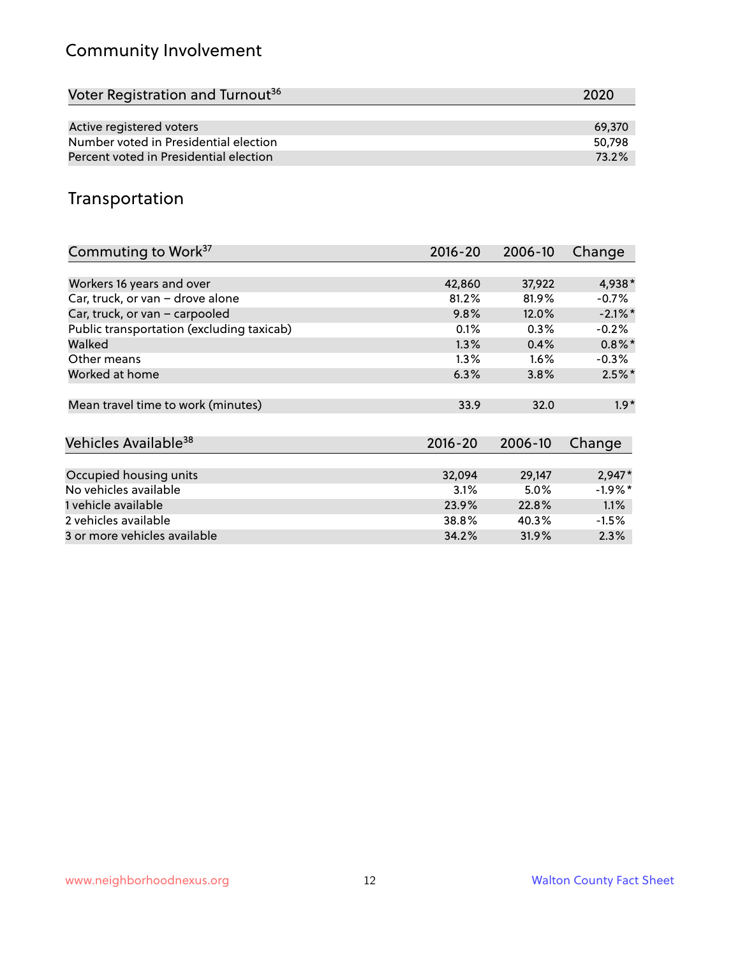# Community Involvement

| Voter Registration and Turnout <sup>36</sup> | 2020   |
|----------------------------------------------|--------|
|                                              |        |
| Active registered voters                     | 69.370 |
| Number voted in Presidential election        | 50,798 |
| Percent voted in Presidential election       | 73.2%  |

#### Transportation

| Commuting to Work <sup>37</sup>           | 2016-20     | 2006-10 | Change     |
|-------------------------------------------|-------------|---------|------------|
|                                           |             |         |            |
| Workers 16 years and over                 | 42,860      | 37,922  | 4,938*     |
| Car, truck, or van - drove alone          | 81.2%       | 81.9%   | $-0.7\%$   |
| Car, truck, or van - carpooled            | 9.8%        | 12.0%   | $-2.1\%$ * |
| Public transportation (excluding taxicab) | 0.1%        | 0.3%    | $-0.2%$    |
| Walked                                    | 1.3%        | 0.4%    | $0.8\%$ *  |
| Other means                               | $1.3\%$     | 1.6%    | $-0.3\%$   |
| Worked at home                            | 6.3%        | 3.8%    | $2.5\%$ *  |
|                                           |             |         |            |
| Mean travel time to work (minutes)        | 33.9        | 32.0    | $1.9*$     |
|                                           |             |         |            |
| Vehicles Available <sup>38</sup>          | $2016 - 20$ | 2006-10 | Change     |
|                                           |             |         |            |
| Occupied housing units                    | 32,094      | 29,147  | $2,947*$   |
| No vehicles available                     | 3.1%        | 5.0%    | $-1.9%$ *  |
| 1 vehicle available                       | 23.9%       | 22.8%   | 1.1%       |
| 2 vehicles available                      | 38.8%       | 40.3%   | $-1.5%$    |
| 3 or more vehicles available              | 34.2%       | 31.9%   | 2.3%       |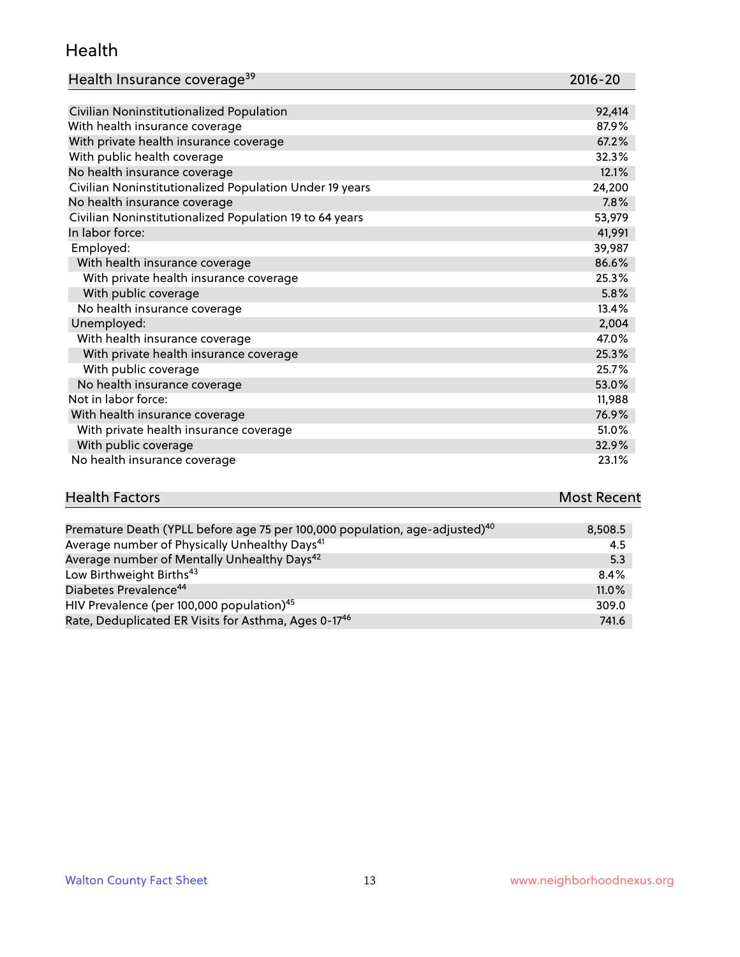#### Health

| Health Insurance coverage <sup>39</sup> | 2016-20 |
|-----------------------------------------|---------|
|-----------------------------------------|---------|

| Civilian Noninstitutionalized Population                | 92,414 |
|---------------------------------------------------------|--------|
| With health insurance coverage                          | 87.9%  |
| With private health insurance coverage                  | 67.2%  |
| With public health coverage                             | 32.3%  |
| No health insurance coverage                            | 12.1%  |
| Civilian Noninstitutionalized Population Under 19 years | 24,200 |
| No health insurance coverage                            | 7.8%   |
| Civilian Noninstitutionalized Population 19 to 64 years | 53,979 |
| In labor force:                                         | 41,991 |
| Employed:                                               | 39,987 |
| With health insurance coverage                          | 86.6%  |
| With private health insurance coverage                  | 25.3%  |
| With public coverage                                    | 5.8%   |
| No health insurance coverage                            | 13.4%  |
| Unemployed:                                             | 2,004  |
| With health insurance coverage                          | 47.0%  |
| With private health insurance coverage                  | 25.3%  |
| With public coverage                                    | 25.7%  |
| No health insurance coverage                            | 53.0%  |
| Not in labor force:                                     | 11,988 |
| With health insurance coverage                          | 76.9%  |
| With private health insurance coverage                  | 51.0%  |
| With public coverage                                    | 32.9%  |
| No health insurance coverage                            | 23.1%  |

# **Health Factors Most Recent** And The Control of the Control of The Control of The Control of The Control of The Control of The Control of The Control of The Control of The Control of The Control of The Control of The Contr

| Premature Death (YPLL before age 75 per 100,000 population, age-adjusted) <sup>40</sup> | 8,508.5 |
|-----------------------------------------------------------------------------------------|---------|
| Average number of Physically Unhealthy Days <sup>41</sup>                               | 4.5     |
| Average number of Mentally Unhealthy Days <sup>42</sup>                                 | 5.3     |
| Low Birthweight Births <sup>43</sup>                                                    | 8.4%    |
| Diabetes Prevalence <sup>44</sup>                                                       | 11.0%   |
| HIV Prevalence (per 100,000 population) <sup>45</sup>                                   | 309.0   |
| Rate, Deduplicated ER Visits for Asthma, Ages 0-17 <sup>46</sup>                        | 741.6   |